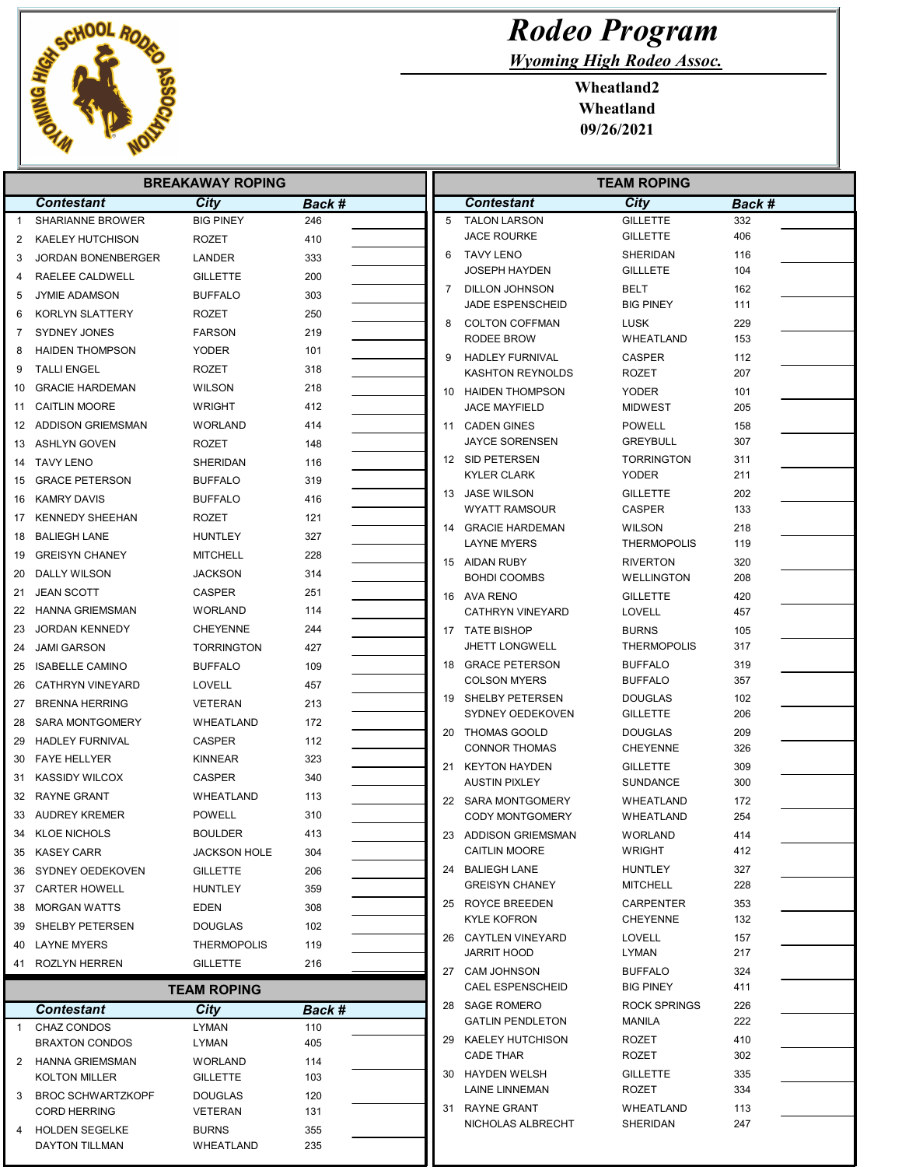

Wyoming High Rodeo Assoc.

Wheatland2 Wheatland 09/26/2021

|              | <b>BREAKAWAY ROPING</b>                 |                           |            |  |    | <b>TEAM ROPING</b>                       |                                     |            |  |
|--------------|-----------------------------------------|---------------------------|------------|--|----|------------------------------------------|-------------------------------------|------------|--|
|              | <b>Contestant</b>                       | City                      | Back #     |  |    | Contestant                               | City                                | Back #     |  |
| $\mathbf 1$  | <b>SHARIANNE BROWER</b>                 | <b>BIG PINEY</b>          | 246        |  | 5  | <b>TALON LARSON</b>                      | <b>GILLETTE</b>                     | 332        |  |
| 2            | <b>KAELEY HUTCHISON</b>                 | ROZET                     | 410        |  |    | <b>JACE ROURKE</b>                       | <b>GILLETTE</b>                     | 406        |  |
| 3            | <b>JORDAN BONENBERGER</b>               | LANDER                    | 333        |  | 6  | <b>TAVY LENO</b>                         | SHERIDAN                            | 116        |  |
| 4            | RAELEE CALDWELL                         | <b>GILLETTE</b>           | 200        |  |    | <b>JOSEPH HAYDEN</b>                     | <b>GILLLETE</b>                     | 104        |  |
| 5            | <b>JYMIE ADAMSON</b>                    | <b>BUFFALO</b>            | 303        |  | 7  | DILLON JOHNSON                           | <b>BELT</b>                         | 162        |  |
| 6            | <b>KORLYN SLATTERY</b>                  | ROZET                     | 250        |  |    | JADE ESPENSCHEID                         | <b>BIG PINEY</b>                    | 111        |  |
| 7            | <b>SYDNEY JONES</b>                     | <b>FARSON</b>             | 219        |  | 8  | <b>COLTON COFFMAN</b><br>RODEE BROW      | <b>LUSK</b><br><b>WHEATLAND</b>     | 229<br>153 |  |
| 8            | <b>HAIDEN THOMPSON</b>                  | YODER                     | 101        |  | 9  | <b>HADLEY FURNIVAL</b>                   | <b>CASPER</b>                       | 112        |  |
| 9            | <b>TALLI ENGEL</b>                      | ROZET                     | 318        |  |    | <b>KASHTON REYNOLDS</b>                  | <b>ROZET</b>                        | 207        |  |
| 10           | <b>GRACIE HARDEMAN</b>                  | <b>WILSON</b>             | 218        |  |    | 10 HAIDEN THOMPSON                       | <b>YODER</b>                        | 101        |  |
| 11           | <b>CAITLIN MOORE</b>                    | <b>WRIGHT</b>             | 412        |  |    | <b>JACE MAYFIELD</b>                     | <b>MIDWEST</b>                      | 205        |  |
| 12           | ADDISON GRIEMSMAN                       | WORLAND                   | 414        |  |    | 11 CADEN GINES                           | <b>POWELL</b>                       | 158        |  |
|              | 13 ASHLYN GOVEN                         | ROZET                     | 148        |  |    | <b>JAYCE SORENSEN</b>                    | <b>GREYBULL</b>                     | 307        |  |
| 14           | TAVY LENO                               | SHERIDAN                  | 116        |  |    | 12 SID PETERSEN                          | <b>TORRINGTON</b>                   | 311        |  |
| 15           | <b>GRACE PETERSON</b>                   | <b>BUFFALO</b>            | 319        |  |    | <b>KYLER CLARK</b>                       | <b>YODER</b>                        | 211        |  |
| 16           | KAMRY DAVIS                             | <b>BUFFALO</b>            | 416        |  |    | 13 JASE WILSON                           | <b>GILLETTE</b>                     | 202        |  |
| 17           | <b>KENNEDY SHEEHAN</b>                  | ROZET                     | 121        |  |    | <b>WYATT RAMSOUR</b>                     | <b>CASPER</b>                       | 133        |  |
| 18           | <b>BALIEGH LANE</b>                     | <b>HUNTLEY</b>            | 327        |  |    | 14 GRACIE HARDEMAN<br><b>LAYNE MYERS</b> | <b>WILSON</b><br><b>THERMOPOLIS</b> | 218<br>119 |  |
| 19           | <b>GREISYN CHANEY</b>                   | <b>MITCHELL</b>           | 228        |  |    | 15 AIDAN RUBY                            | <b>RIVERTON</b>                     | 320        |  |
| 20           | DALLY WILSON                            | <b>JACKSON</b>            | 314        |  |    | <b>BOHDI COOMBS</b>                      | <b>WELLINGTON</b>                   | 208        |  |
| 21           | <b>JEAN SCOTT</b>                       | <b>CASPER</b>             | 251        |  |    | 16 AVA RENO                              | <b>GILLETTE</b>                     | 420        |  |
| 22           | HANNA GRIEMSMAN                         | WORLAND                   | 114        |  |    | <b>CATHRYN VINEYARD</b>                  | LOVELL                              | 457        |  |
| 23           | <b>JORDAN KENNEDY</b>                   | <b>CHEYENNE</b>           | 244        |  |    | 17 TATE BISHOP                           | <b>BURNS</b>                        | 105        |  |
| 24           | <b>JAMI GARSON</b>                      | <b>TORRINGTON</b>         | 427        |  |    | <b>JHETT LONGWELL</b>                    | <b>THERMOPOLIS</b>                  | 317        |  |
| 25           | <b>ISABELLE CAMINO</b>                  | <b>BUFFALO</b>            | 109        |  |    | 18 GRACE PETERSON                        | <b>BUFFALO</b>                      | 319        |  |
| 26           | <b>CATHRYN VINEYARD</b>                 | LOVELL                    | 457        |  |    | <b>COLSON MYERS</b>                      | <b>BUFFALO</b>                      | 357        |  |
| 27           | <b>BRENNA HERRING</b>                   | VETERAN                   | 213        |  |    | 19 SHELBY PETERSEN                       | <b>DOUGLAS</b>                      | 102        |  |
| 28           | SARA MONTGOMERY                         | WHEATLAND                 | 172        |  |    | SYDNEY OEDEKOVEN                         | <b>GILLETTE</b>                     | 206        |  |
| 29           | <b>HADLEY FURNIVAL</b>                  | <b>CASPER</b>             | 112        |  |    | 20 THOMAS GOOLD<br><b>CONNOR THOMAS</b>  | <b>DOUGLAS</b><br><b>CHEYENNE</b>   | 209<br>326 |  |
| 30           | <b>FAYE HELLYER</b>                     | <b>KINNEAR</b>            | 323        |  | 21 | <b>KEYTON HAYDEN</b>                     | <b>GILLETTE</b>                     | 309        |  |
| 31           | <b>KASSIDY WILCOX</b>                   | <b>CASPER</b>             | 340        |  |    | <b>AUSTIN PIXLEY</b>                     | <b>SUNDANCE</b>                     | 300        |  |
| 32           | RAYNE GRANT                             | WHEATLAND                 | 113        |  |    | 22 SARA MONTGOMERY                       | WHEATLAND                           | 172        |  |
|              | 33 AUDREY KREMER                        | <b>POWELL</b>             | 310        |  |    | <b>CODY MONTGOMERY</b>                   | WHEATLAND                           | 254        |  |
|              | 34 KLOE NICHOLS                         | <b>BOULDER</b>            | 413        |  |    | 23 ADDISON GRIEMSMAN                     | WORLAND                             | 414        |  |
|              | 35 KASEY CARR                           | JACKSON HOLE              | 304        |  |    | <b>CAITLIN MOORE</b>                     | <b>WRIGHT</b>                       | 412        |  |
|              | 36 SYDNEY OEDEKOVEN                     | <b>GILLETTE</b>           | 206        |  |    | 24 BALIEGH LANE                          | <b>HUNTLEY</b>                      | 327        |  |
|              | 37 CARTER HOWELL                        | <b>HUNTLEY</b>            | 359        |  |    | <b>GREISYN CHANEY</b>                    | <b>MITCHELL</b>                     | 228        |  |
| 38           | <b>MORGAN WATTS</b>                     | EDEN                      | 308        |  |    | 25 ROYCE BREEDEN<br><b>KYLE KOFRON</b>   | <b>CARPENTER</b><br><b>CHEYENNE</b> | 353<br>132 |  |
| 39           | SHELBY PETERSEN                         | <b>DOUGLAS</b>            | 102        |  |    | 26 CAYTLEN VINEYARD                      | <b>LOVELL</b>                       | 157        |  |
| 40           | LAYNE MYERS                             | <b>THERMOPOLIS</b>        | 119        |  |    | <b>JARRIT HOOD</b>                       | LYMAN                               | 217        |  |
|              | 41 ROZLYN HERREN                        | <b>GILLETTE</b>           | 216        |  |    | 27 CAM JOHNSON                           | <b>BUFFALO</b>                      | 324        |  |
|              |                                         | <b>TEAM ROPING</b>        |            |  |    | CAEL ESPENSCHEID                         | <b>BIG PINEY</b>                    | 411        |  |
|              | <b>Contestant</b>                       | City                      | Back #     |  |    | 28 SAGE ROMERO                           | <b>ROCK SPRINGS</b>                 | 226        |  |
| $\mathbf{1}$ | CHAZ CONDOS                             | LYMAN                     | 110        |  |    | <b>GATLIN PENDLETON</b>                  | MANILA                              | 222        |  |
|              | <b>BRAXTON CONDOS</b>                   | LYMAN                     | 405        |  |    | 29 KAELEY HUTCHISON                      | <b>ROZET</b>                        | 410        |  |
| 2            | HANNA GRIEMSMAN                         | WORLAND                   | 114        |  |    | <b>CADE THAR</b>                         | ROZET                               | 302        |  |
|              | KOLTON MILLER                           | <b>GILLETTE</b>           | 103        |  |    | 30 HAYDEN WELSH<br>LAINE LINNEMAN        | <b>GILLETTE</b><br>ROZET            | 335<br>334 |  |
| 3            | <b>BROC SCHWARTZKOPF</b>                | <b>DOUGLAS</b>            | 120        |  |    | 31 RAYNE GRANT                           | WHEATLAND                           | 113        |  |
|              | <b>CORD HERRING</b>                     | VETERAN                   | 131        |  |    | NICHOLAS ALBRECHT                        | SHERIDAN                            | 247        |  |
| 4            | <b>HOLDEN SEGELKE</b><br>DAYTON TILLMAN | <b>BURNS</b><br>WHEATLAND | 355<br>235 |  |    |                                          |                                     |            |  |
|              |                                         |                           |            |  |    |                                          |                                     |            |  |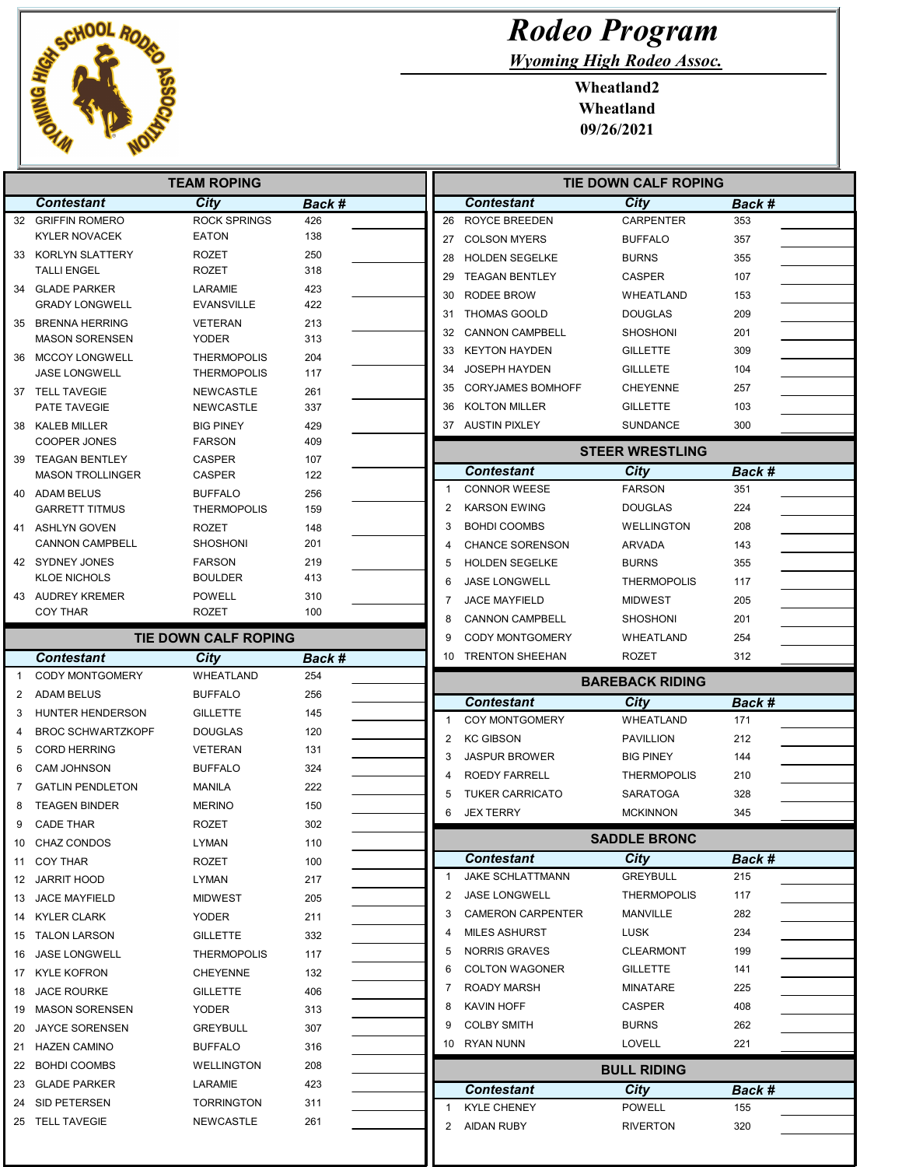

Wyoming High Rodeo Assoc.

Wheatland2 Wheatland 09/26/2021

|                | <b>TEAM ROPING</b>                            |                                          |            |                | <b>TIE DOWN CALF ROPING</b>             |                                       |               |  |
|----------------|-----------------------------------------------|------------------------------------------|------------|----------------|-----------------------------------------|---------------------------------------|---------------|--|
|                | <b>Contestant</b>                             | <b>City</b>                              | Back #     |                | <b>Contestant</b>                       | <b>City</b>                           | Back #        |  |
|                | 32 GRIFFIN ROMERO                             | <b>ROCK SPRINGS</b>                      | 426        |                | 26 ROYCE BREEDEN                        | <b>CARPENTER</b>                      | 353           |  |
|                | <b>KYLER NOVACEK</b>                          | <b>EATON</b>                             | 138        | 27             | <b>COLSON MYERS</b>                     | <b>BUFFALO</b>                        | 357           |  |
| 33             | KORLYN SLATTERY                               | <b>ROZET</b>                             | 250        | 28             | <b>HOLDEN SEGELKE</b>                   | <b>BURNS</b>                          | 355           |  |
|                | <b>TALLI ENGEL</b>                            | <b>ROZET</b>                             | 318        | 29             | <b>TEAGAN BENTLEY</b>                   | <b>CASPER</b>                         | 107           |  |
|                | 34 GLADE PARKER                               | LARAMIE                                  | 423        | 30             | RODEE BROW                              | WHEATLAND                             | 153           |  |
|                | <b>GRADY LONGWELL</b>                         | <b>EVANSVILLE</b>                        | 422        | 31             | <b>THOMAS GOOLD</b>                     | <b>DOUGLAS</b>                        | 209           |  |
| 35             | <b>BRENNA HERRING</b>                         | <b>VETERAN</b>                           | 213        | 32             | <b>CANNON CAMPBELL</b>                  | <b>SHOSHONI</b>                       | 201           |  |
|                | <b>MASON SORENSEN</b>                         | <b>YODER</b>                             | 313        | 33             | <b>KEYTON HAYDEN</b>                    | <b>GILLETTE</b>                       | 309           |  |
| 36             | <b>MCCOY LONGWELL</b><br><b>JASE LONGWELL</b> | <b>THERMOPOLIS</b><br><b>THERMOPOLIS</b> | 204<br>117 | 34             | <b>JOSEPH HAYDEN</b>                    | <b>GILLLETE</b>                       | 104           |  |
|                | 37 TELL TAVEGIE                               | <b>NEWCASTLE</b>                         | 261        | 35             | <b>CORYJAMES BOMHOFF</b>                | <b>CHEYENNE</b>                       | 257           |  |
|                | PATE TAVEGIE                                  | <b>NEWCASTLE</b>                         | 337        | 36             | <b>KOLTON MILLER</b>                    | <b>GILLETTE</b>                       | 103           |  |
|                | 38 KALEB MILLER                               | <b>BIG PINEY</b>                         | 429        |                | 37 AUSTIN PIXLEY                        | <b>SUNDANCE</b>                       | 300           |  |
|                | <b>COOPER JONES</b>                           | <b>FARSON</b>                            | 409        |                |                                         |                                       |               |  |
|                | 39 TEAGAN BENTLEY                             | <b>CASPER</b>                            | 107        |                |                                         | <b>STEER WRESTLING</b>                |               |  |
|                | <b>MASON TROLLINGER</b>                       | <b>CASPER</b>                            | 122        |                | <b>Contestant</b>                       | <b>City</b>                           | Back #        |  |
|                | 40 ADAM BELUS                                 | <b>BUFFALO</b>                           | 256        | $\mathbf{1}$   | <b>CONNOR WEESE</b>                     | <b>FARSON</b>                         | 351           |  |
|                | <b>GARRETT TITMUS</b>                         | <b>THERMOPOLIS</b>                       | 159        | $\overline{2}$ | <b>KARSON EWING</b>                     | <b>DOUGLAS</b>                        | 224           |  |
|                | 41 ASHLYN GOVEN                               | <b>ROZET</b>                             | 148        | 3              | <b>BOHDI COOMBS</b>                     | <b>WELLINGTON</b>                     | 208           |  |
|                | <b>CANNON CAMPBELL</b>                        | <b>SHOSHONI</b>                          | 201        | $\overline{4}$ | <b>CHANCE SORENSON</b>                  | <b>ARVADA</b>                         | 143           |  |
|                | 42 SYDNEY JONES                               | <b>FARSON</b>                            | 219        | 5              | <b>HOLDEN SEGELKE</b>                   | <b>BURNS</b>                          | 355           |  |
|                | <b>KLOE NICHOLS</b>                           | <b>BOULDER</b>                           | 413        | 6              | <b>JASE LONGWELL</b>                    | <b>THERMOPOLIS</b>                    | 117           |  |
|                | 43 AUDREY KREMER                              | <b>POWELL</b>                            | 310        | 7              | <b>JACE MAYFIELD</b>                    | <b>MIDWEST</b>                        | 205           |  |
|                | <b>COY THAR</b>                               | <b>ROZET</b>                             | 100        | 8              | <b>CANNON CAMPBELL</b>                  | <b>SHOSHONI</b>                       | 201           |  |
|                |                                               | TIE DOWN CALF ROPING                     |            | 9              | <b>CODY MONTGOMERY</b>                  | WHEATLAND                             | 254           |  |
|                | <b>Contestant</b>                             | City                                     | Back #     | 10             | TRENTON SHEEHAN                         | ROZET                                 | 312           |  |
| $\overline{1}$ | <b>CODY MONTGOMERY</b>                        | WHEATLAND                                | 254        |                |                                         | <b>BAREBACK RIDING</b>                |               |  |
| 2              | <b>ADAM BELUS</b>                             | <b>BUFFALO</b>                           | 256        |                |                                         | City                                  |               |  |
|                |                                               |                                          |            |                | <b>Contestant</b>                       |                                       |               |  |
| 3              | HUNTER HENDERSON                              | <b>GILLETTE</b>                          | 145        | -1             | COY MONTGOMERY                          | <b>WHEATLAND</b>                      | Back #<br>171 |  |
| 4              | <b>BROC SCHWARTZKOPF</b>                      | <b>DOUGLAS</b>                           | 120        | $\overline{2}$ | <b>KC GIBSON</b>                        | <b>PAVILLION</b>                      | 212           |  |
| 5              | <b>CORD HERRING</b>                           | <b>VETERAN</b>                           | 131        | 3              | <b>JASPUR BROWER</b>                    | <b>BIG PINEY</b>                      | 144           |  |
| 6              | <b>CAM JOHNSON</b>                            | <b>BUFFALO</b>                           | 324        | $\overline{4}$ |                                         |                                       | 210           |  |
| 7              | <b>GATLIN PENDLETON</b>                       | MANILA                                   | 222        | 5              | ROEDY FARRELL                           | <b>THERMOPOLIS</b><br><b>SARATOGA</b> | 328           |  |
| 8              | <b>TEAGEN BINDER</b>                          | <b>MERINO</b>                            | 150        | 6              | <b>TUKER CARRICATO</b>                  |                                       |               |  |
| 9              | <b>CADE THAR</b>                              | <b>ROZET</b>                             | 302        |                | <b>JEX TERRY</b>                        | <b>MCKINNON</b>                       | 345           |  |
|                | 10 CHAZ CONDOS                                | LYMAN                                    | 110        |                |                                         | <b>SADDLE BRONC</b>                   |               |  |
|                | 11 COY THAR                                   | ROZET                                    | 100        |                | <b>Contestant</b>                       | City                                  | Back #        |  |
|                | 12 JARRIT HOOD                                | LYMAN                                    | 217        | 1              | <b>JAKE SCHLATTMANN</b>                 | <b>GREYBULL</b>                       | 215           |  |
|                | 13 JACE MAYFIELD                              | <b>MIDWEST</b>                           | 205        | 2              | <b>JASE LONGWELL</b>                    | <b>THERMOPOLIS</b>                    | 117           |  |
|                | 14 KYLER CLARK                                | YODER                                    | 211        | 3              | <b>CAMERON CARPENTER</b>                | MANVILLE                              | 282           |  |
|                | 15 TALON LARSON                               | <b>GILLETTE</b>                          | 332        | 4              | MILES ASHURST                           | LUSK                                  | 234           |  |
|                | 16 JASE LONGWELL                              | <b>THERMOPOLIS</b>                       | 117        | 5              | <b>NORRIS GRAVES</b>                    | <b>CLEARMONT</b>                      | 199           |  |
|                | 17 KYLE KOFRON                                | <b>CHEYENNE</b>                          | 132        | 6              | <b>COLTON WAGONER</b>                   | <b>GILLETTE</b>                       | 141           |  |
|                | 18 JACE ROURKE                                | <b>GILLETTE</b>                          | 406        | 7              | <b>ROADY MARSH</b>                      | <b>MINATARE</b>                       | 225           |  |
| 19             | MASON SORENSEN                                | YODER                                    | 313        | 8              | <b>KAVIN HOFF</b>                       | CASPER                                | 408           |  |
| 20             | <b>JAYCE SORENSEN</b>                         | <b>GREYBULL</b>                          | 307        | 9              | <b>COLBY SMITH</b>                      | <b>BURNS</b>                          | 262           |  |
|                | 21 HAZEN CAMINO                               | <b>BUFFALO</b>                           | 316        |                | 10 RYAN NUNN                            | <b>LOVELL</b>                         | 221           |  |
| 22             | <b>BOHDI COOMBS</b>                           | <b>WELLINGTON</b>                        | 208        |                |                                         |                                       |               |  |
|                | 23 GLADE PARKER                               | LARAMIE                                  | 423        |                |                                         | <b>BULL RIDING</b>                    |               |  |
|                | 24 SID PETERSEN                               | <b>TORRINGTON</b>                        | 311        | $\mathbf{1}$   | <b>Contestant</b>                       | City                                  | Back #        |  |
|                | 25 TELL TAVEGIE                               | NEWCASTLE                                | 261        | 2              | <b>KYLE CHENEY</b><br><b>AIDAN RUBY</b> | <b>POWELL</b><br><b>RIVERTON</b>      | 155<br>320    |  |

L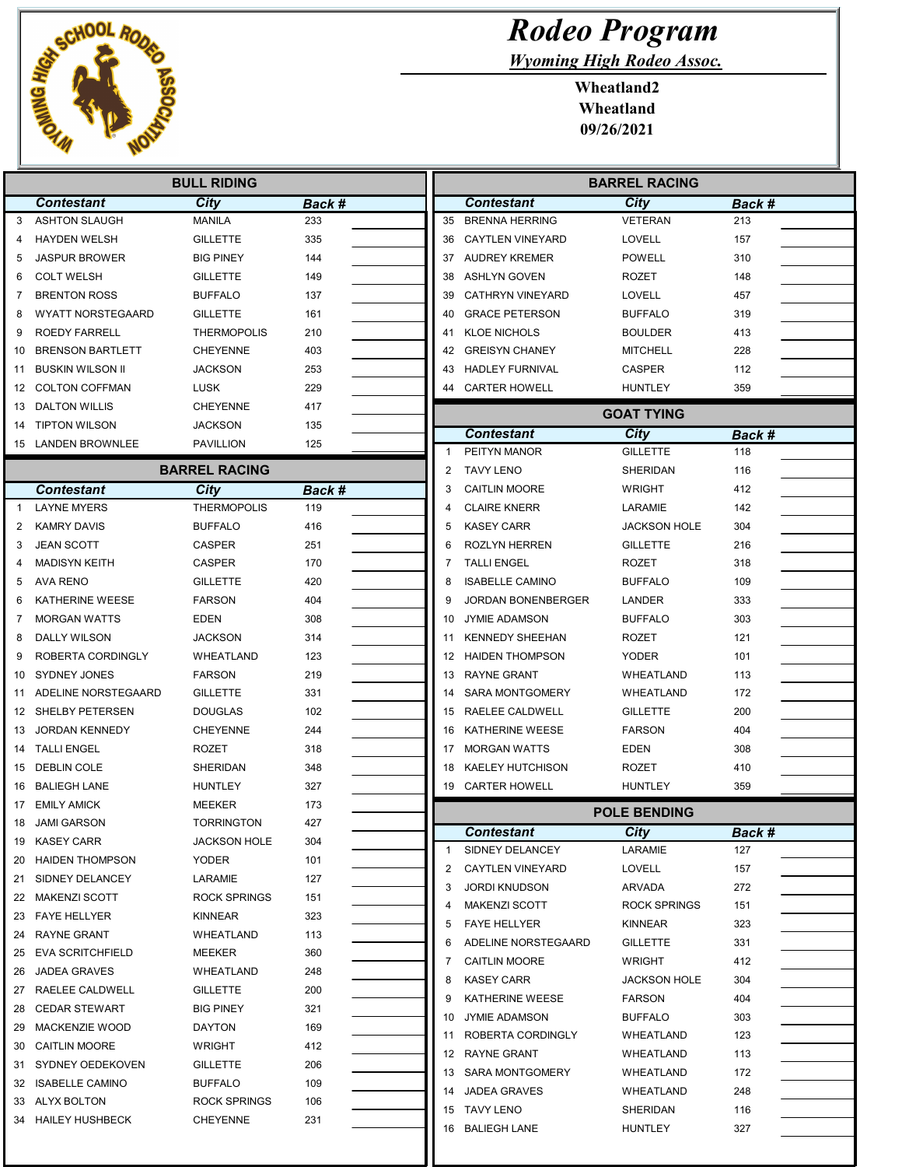

Wyoming High Rodeo Assoc.

Wheatland2 Wheatland 09/26/2021

| <b>BULL RIDING</b> |                          |                      |        |                | <b>BARREL RACING</b>    |                     |        |  |
|--------------------|--------------------------|----------------------|--------|----------------|-------------------------|---------------------|--------|--|
|                    | <b>Contestant</b>        | City                 | Back # |                | <b>Contestant</b>       | <b>City</b>         | Back # |  |
| 3                  | <b>ASHTON SLAUGH</b>     | <b>MANILA</b>        | 233    | 35             | <b>BRENNA HERRING</b>   | <b>VETERAN</b>      | 213    |  |
| 4                  | <b>HAYDEN WELSH</b>      | <b>GILLETTE</b>      | 335    | 36             | <b>CAYTLEN VINEYARD</b> | LOVELL              | 157    |  |
| 5                  | <b>JASPUR BROWER</b>     | <b>BIG PINEY</b>     | 144    | 37             | <b>AUDREY KREMER</b>    | <b>POWELL</b>       | 310    |  |
| 6                  | <b>COLT WELSH</b>        | <b>GILLETTE</b>      | 149    | 38             | <b>ASHLYN GOVEN</b>     | <b>ROZET</b>        | 148    |  |
| 7                  | <b>BRENTON ROSS</b>      | <b>BUFFALO</b>       | 137    | 39             | <b>CATHRYN VINEYARD</b> | LOVELL              | 457    |  |
| 8                  | <b>WYATT NORSTEGAARD</b> | <b>GILLETTE</b>      | 161    | 40             | <b>GRACE PETERSON</b>   | <b>BUFFALO</b>      | 319    |  |
| 9                  | <b>ROEDY FARRELL</b>     | <b>THERMOPOLIS</b>   | 210    | 41             | <b>KLOE NICHOLS</b>     | <b>BOULDER</b>      | 413    |  |
| 10                 | <b>BRENSON BARTLETT</b>  | <b>CHEYENNE</b>      | 403    | 42             | <b>GREISYN CHANEY</b>   | <b>MITCHELL</b>     | 228    |  |
| 11                 | <b>BUSKIN WILSON II</b>  | <b>JACKSON</b>       | 253    | 43             | <b>HADLEY FURNIVAL</b>  | <b>CASPER</b>       | 112    |  |
| 12                 | <b>COLTON COFFMAN</b>    | <b>LUSK</b>          | 229    | 44             | <b>CARTER HOWELL</b>    | <b>HUNTLEY</b>      | 359    |  |
| 13                 | <b>DALTON WILLIS</b>     | <b>CHEYENNE</b>      | 417    |                |                         | <b>GOAT TYING</b>   |        |  |
| 14                 | <b>TIPTON WILSON</b>     | <b>JACKSON</b>       | 135    |                | <b>Contestant</b>       | <b>City</b>         | Back # |  |
| 15                 | <b>LANDEN BROWNLEE</b>   | <b>PAVILLION</b>     | 125    | 1              | PEITYN MANOR            | <b>GILLETTE</b>     | 118    |  |
|                    |                          | <b>BARREL RACING</b> |        | $\overline{2}$ | <b>TAVY LENO</b>        | <b>SHERIDAN</b>     | 116    |  |
|                    | <b>Contestant</b>        | City                 | Back # | 3              | <b>CAITLIN MOORE</b>    | <b>WRIGHT</b>       | 412    |  |
| $\mathbf{1}$       | <b>LAYNE MYERS</b>       | <b>THERMOPOLIS</b>   | 119    | 4              | <b>CLAIRE KNERR</b>     | LARAMIE             | 142    |  |
| 2                  | <b>KAMRY DAVIS</b>       | <b>BUFFALO</b>       | 416    | 5              | <b>KASEY CARR</b>       | <b>JACKSON HOLE</b> | 304    |  |
| 3                  | <b>JEAN SCOTT</b>        | <b>CASPER</b>        | 251    | 6              | ROZLYN HERREN           | <b>GILLETTE</b>     | 216    |  |
|                    | <b>MADISYN KEITH</b>     | CASPER               | 170    | 7              | <b>TALLI ENGEL</b>      | <b>ROZET</b>        | 318    |  |
| 5                  | <b>AVA RENO</b>          | <b>GILLETTE</b>      | 420    | 8              | <b>ISABELLE CAMINO</b>  | <b>BUFFALO</b>      | 109    |  |
| 6                  | KATHERINE WEESE          | <b>FARSON</b>        | 404    | 9              | JORDAN BONENBERGER      | LANDER              | 333    |  |
| 7                  | <b>MORGAN WATTS</b>      | <b>EDEN</b>          | 308    | 10             | <b>JYMIE ADAMSON</b>    | <b>BUFFALO</b>      | 303    |  |
| 8                  | <b>DALLY WILSON</b>      | <b>JACKSON</b>       | 314    | 11             | <b>KENNEDY SHEEHAN</b>  | <b>ROZET</b>        | 121    |  |
| 9                  | ROBERTA CORDINGLY        | WHEATLAND            | 123    | 12             | <b>HAIDEN THOMPSON</b>  | <b>YODER</b>        | 101    |  |
| 10                 | SYDNEY JONES             | <b>FARSON</b>        | 219    | 13             | <b>RAYNE GRANT</b>      | WHEATLAND           | 113    |  |
| 11                 | ADELINE NORSTEGAARD      | <b>GILLETTE</b>      | 331    | 14             | <b>SARA MONTGOMERY</b>  | WHEATLAND           | 172    |  |
| 12                 | SHELBY PETERSEN          | <b>DOUGLAS</b>       | 102    | 15             | RAELEE CALDWELL         | <b>GILLETTE</b>     | 200    |  |
| 13                 | <b>JORDAN KENNEDY</b>    | <b>CHEYENNE</b>      | 244    | 16             | KATHERINE WEESE         | <b>FARSON</b>       | 404    |  |
| 14                 | <b>TALLI ENGEL</b>       | <b>ROZET</b>         | 318    | 17             | <b>MORGAN WATTS</b>     | <b>EDEN</b>         | 308    |  |
| 15                 | <b>DEBLIN COLE</b>       | SHERIDAN             | 348    | 18             | <b>KAELEY HUTCHISON</b> | <b>ROZET</b>        | 410    |  |
| 16                 | <b>BALIEGH LANE</b>      | <b>HUNTLEY</b>       | 327    |                | 19 CARTER HOWELL        | <b>HUNTLEY</b>      | 359    |  |
| 17                 | <b>EMILY AMICK</b>       | <b>MEEKER</b>        | 173    |                |                         | <b>POLE BENDING</b> |        |  |
| 18                 | <b>JAMI GARSON</b>       | <b>TORRINGTON</b>    | 427    |                | <b>Contestant</b>       | <b>City</b>         | Back # |  |
| 19                 | <b>KASEY CARR</b>        | <b>JACKSON HOLE</b>  | 304    | 1              | SIDNEY DELANCEY         | LARAMIE             | 127    |  |
| 20                 | <b>HAIDEN THOMPSON</b>   | <b>YODER</b>         | 101    | 2              | CAYTLEN VINEYARD        | LOVELL              | 157    |  |
| 21                 | SIDNEY DELANCEY          | LARAMIE              | 127    | 3              | <b>JORDI KNUDSON</b>    | ARVADA              | 272    |  |
| 22                 | <b>MAKENZI SCOTT</b>     | <b>ROCK SPRINGS</b>  | 151    | 4              | <b>MAKENZI SCOTT</b>    | <b>ROCK SPRINGS</b> | 151    |  |
| 23                 | <b>FAYE HELLYER</b>      | KINNEAR              | 323    | 5              | <b>FAYE HELLYER</b>     | KINNEAR             | 323    |  |
| 24                 | <b>RAYNE GRANT</b>       | WHEATLAND            | 113    | 6              | ADELINE NORSTEGAARD     | <b>GILLETTE</b>     | 331    |  |
| 25                 | <b>EVA SCRITCHFIELD</b>  | <b>MEEKER</b>        | 360    | 7              | <b>CAITLIN MOORE</b>    | WRIGHT              | 412    |  |
| 26                 | <b>JADEA GRAVES</b>      | WHEATLAND            | 248    | 8              | <b>KASEY CARR</b>       | <b>JACKSON HOLE</b> | 304    |  |
| 27                 | RAELEE CALDWELL          | <b>GILLETTE</b>      | 200    | 9              | KATHERINE WEESE         | <b>FARSON</b>       | 404    |  |
| 28                 | <b>CEDAR STEWART</b>     | <b>BIG PINEY</b>     | 321    | 10             | <b>JYMIE ADAMSON</b>    | <b>BUFFALO</b>      | 303    |  |
| 29                 | MACKENZIE WOOD           | <b>DAYTON</b>        | 169    | 11             | ROBERTA CORDINGLY       | WHEATLAND           | 123    |  |
| 30                 | <b>CAITLIN MOORE</b>     | WRIGHT               | 412    | 12             | RAYNE GRANT             | WHEATLAND           | 113    |  |
| 31                 | SYDNEY OEDEKOVEN         | <b>GILLETTE</b>      | 206    | 13             | SARA MONTGOMERY         | WHEATLAND           | 172    |  |
| 32                 | <b>ISABELLE CAMINO</b>   | <b>BUFFALO</b>       | 109    | 14             | <b>JADEA GRAVES</b>     | WHEATLAND           | 248    |  |
| 33                 | ALYX BOLTON              | <b>ROCK SPRINGS</b>  | 106    | 15             | TAVY LENO               | SHERIDAN            | 116    |  |
| 34                 | <b>HAILEY HUSHBECK</b>   | <b>CHEYENNE</b>      | 231    |                | 16 BALIEGH LANE         | <b>HUNTLEY</b>      | 327    |  |
|                    |                          |                      |        |                |                         |                     |        |  |

Ш